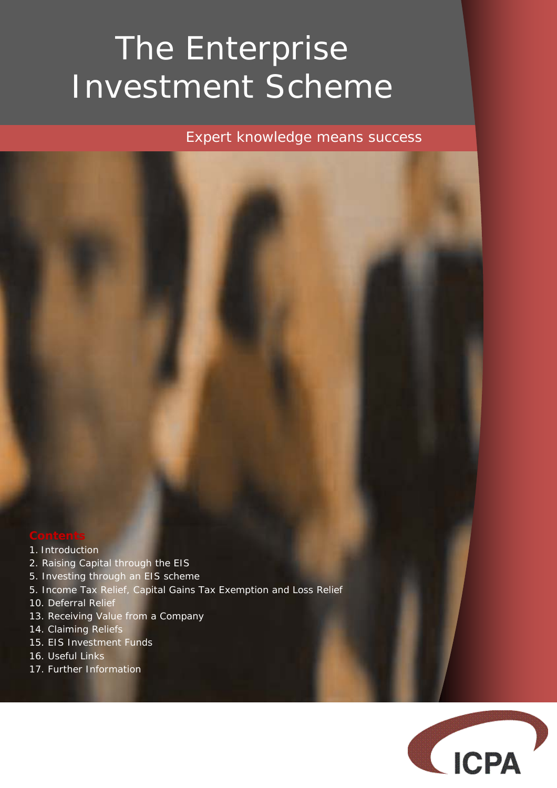# The Enterprise Investment Scheme

*Expert knowledge means success* 

- 1. Introduction
- 2. Raising Capital through the EIS
- 5. Investing through an EIS scheme
- 5. Income Tax Relief, Capital Gains Tax Exemption and Loss Relief
- 10. Deferral Relief
- 13. Receiving Value from a Company
- 14. Claiming Reliefs
- 15. EIS Investment Funds
- 16. Useful Links
- 17. Further Information

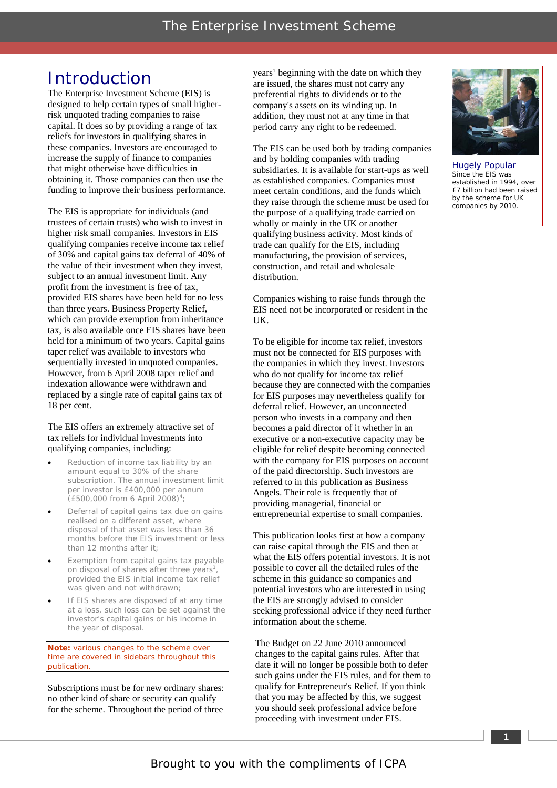### Introduction

The Enterprise Investment Scheme (EIS) is designed to help certain types of small higherrisk unquoted trading companies to raise capital. It does so by providing a range of tax reliefs for investors in qualifying shares in these companies. Investors are encouraged to increase the supply of finance to companies that might otherwise have difficulties in obtaining it. Those companies can then use the funding to improve their business performance.

The EIS is appropriate for individuals (and trustees of certain trusts) who wish to invest in higher risk small companies. Investors in EIS qualifying companies receive income tax relief the value of their investment when they invest, subject to an annual investment limit. Any profit from the investment is free of tax, provided EIS shares have been held for no less than three years. Business Property Relief, which can provide exemption from inheritance tax, is also available once EIS shares have been held for a minimum of two years. Capital gains taper relief was available to investors who sequentially invested in unquoted companies. However, from 6 April 2008 taper relief and indexation allowance were withdrawn and replaced by a single rate of capital gains tax of 18 per cent. of 30% and capital gains tax deferral of 40% of

#### The EIS offers an extremely attractive set of tax reliefs for individual investments into qualifying companies, including:

- Reduction of income tax liability by an subscription. The annual investment limit per investor is £400,000 per annum (£500,000 from 6 April 2008)4 ; amount equal to 30% of the share
- Deferral of capital gains tax due on gains realised on a different asset, where disposal of that asset was less than 36 months before the EIS investment or less than 12 months after it;
- Exemption from capital gains tax payable on disposal of shares after three years<sup>1</sup>, provided the EIS initial income tax relief was given and not withdrawn;
- If EIS shares are disposed of at any time at a loss, such loss can be set against the investor's capital gains or his income in the year of disposal.

**Note:** various changes to the scheme over time are covered in sidebars throughout this publication.

Subscriptions must be for new ordinary shares: no other kind of share or security can qualify for the scheme. Throughout the period of three

years<sup>1</sup> beginning with the date on which they are issued, the shares must not carry any preferential rights to dividends or to the company's assets on its winding up. In addition, they must not at any time in that period carry any right to be redeemed.

The EIS can be used both by trading companies and by holding companies with trading subsidiaries. It is available for start-ups as well as established companies. Companies must meet certain conditions, and the funds which they raise through the scheme must be used for the purpose of a qualifying trade carried on wholly or mainly in the UK or another qualifying business activity. Most kinds of trade can qualify for the EIS, including manufacturing, the provision of services, construction, and retail and wholesale distribution.

Companies wishing to raise funds through the EIS need not be incorporated or resident in the UK.

To be eligible for income tax relief, investors must not be connected for EIS purposes with the companies in which they invest. Investors who do not qualify for income tax relief because they are connected with the companies for EIS purposes may nevertheless qualify for deferral relief. However, an unconnected person who invests in a company and then becomes a paid director of it whether in an executive or a non-executive capacity may be eligible for relief despite becoming connected with the company for EIS purposes on account of the paid directorship. Such investors are referred to in this publication as Business Angels. Their role is frequently that of providing managerial, financial or entrepreneurial expertise to small companies.

This publication looks first at how a company can raise capital through the EIS and then at what the EIS offers potential investors. It is not possible to cover all the detailed rules of the scheme in this guidance so companies and potential investors who are interested in using the EIS are strongly advised to consider seeking professional advice if they need further information about the scheme.

The Budget on 22 June 2010 announced changes to the capital gains rules. After that date it will no longer be possible both to defer such gains under the EIS rules, and for them to qualify for Entrepreneur's Relief. If you think that you may be affected by this, we suggest you should seek professional advice before proceeding with investment under EIS.



Hugely Popular Since the EIS was established in 1994, over £7 billion had been raised by the scheme for UK companies by 2010.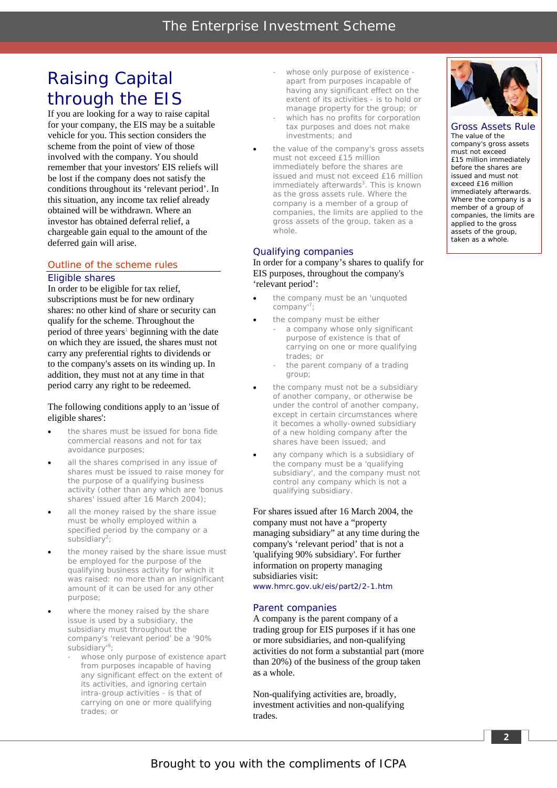## Raising Capital through the EIS

If you are looking for a way to raise capital for your company, the EIS may be a suitable vehicle for you. This section considers the scheme from the point of view of those involved with the company. You should remember that your investors' EIS reliefs will be lost if the company does not satisfy the conditions throughout its 'relevant period'. In this situation, any income tax relief already obtained will be withdrawn. Where an investor has obtained deferral relief, a chargeable gain equal to the amount of the deferred gain will arise.

#### Outline of the scheme rules *Eligible shares*

In order to be eligible for tax relief, subscriptions must be for new ordinary shares: no other kind of share or security can qualify for the scheme. Throughout the period of three years<sup>1</sup> beginning with the date on which they are issued, the shares must not carry any preferential rights to dividends or to the company's assets on its winding up. In addition, they must not at any time in that period carry any right to be redeemed.

#### The following conditions apply to an 'issue of eligible shares':

- the shares must be issued for bona fide commercial reasons and not for tax avoidance purposes;
- all the shares comprised in any issue of shares must be issued to raise money for the purpose of a qualifying business activity (other than any which are 'bonus shares' issued after 16 March 2004);
- all the money raised by the share issue must be wholly employed within a specified period by the company or a subsidiary<sup>2</sup>;
- the money raised by the share issue must be employed for the purpose of the qualifying business activity for which it was raised: no more than an insignificant amount of it can be used for any other purpose;
- where the money raised by the share issue is used by a subsidiary, the subsidiary must throughout the company's 'relevant period' be a '90% subsidiary'<sup>9</sup> ;
	- whose only purpose of existence apart from purposes incapable of having any significant effect on the extent of its activities, and ignoring certain intra-group activities - is that of carrying on one or more qualifying trades; or
- whose only purpose of existence apart from purposes incapable of having any significant effect on the extent of its activities - is to hold or manage property for the group; or
- which has no profits for corporation tax purposes and does not make investments; and
- the value of the company's gross assets must not exceed £15 million immediately before the shares are issued and must not exceed £16 million immediately afterwards<sup>3</sup>. This is known as the gross assets rule. Where the company is a member of a group of companies, the limits are applied to the gross assets of the group, taken as a whole.

#### *Qualifying companies*

In order for a company's shares to qualify for EIS purposes, throughout the company's 'relevant period':

- the company must be an 'unquoted company'<sup>7</sup>;
- the company must be either
	- a company whose only significant purpose of existence is that of carrying on one or more qualifying trades; or
	- the parent company of a trading group;
- the company must not be a subsidiary of another company, or otherwise be under the control of another company, except in certain circumstances where it becomes a wholly-owned subsidiary of a new holding company after the shares have been issued; and
- any company which is a subsidiary of the company must be a 'qualifying subsidiary', and the company must not control any company which is not a qualifying subsidiary.

For shares issued after 16 March 2004, the company must not have a "property managing subsidiary" at any time during the company's 'relevant period' that is not a 'qualifying 90% subsidiary'. For further information on property managing subsidiaries visit: www.hmrc.gov.uk/eis/part2/2-1.htm

#### *Parent companies*

A company is the parent company of a trading group for EIS purposes if it has one or more subsidiaries, and non-qualifying activities do not form a substantial part (more than 20%) of the business of the group taken as a whole.

Non-qualifying activities are, broadly, investment activities and non-qualifying trades.



Gross Assets Rule The value of the company's gross assets must not exceed £15 million immediately before the shares are issued and must not exceed £16 million immediately afterwards. Where the company is a member of a group of companies, the limits are applied to the gross assets of the group, taken as a whole.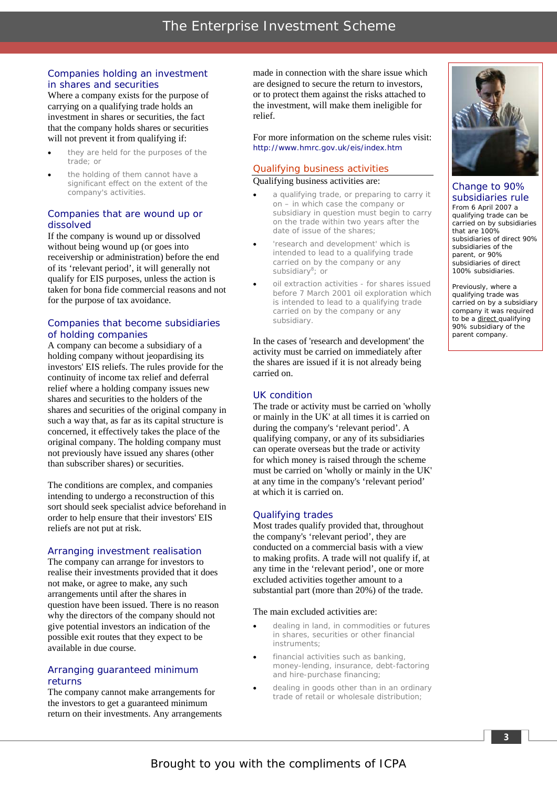#### *Companies holding an investment in shares and securities*

Where a company exists for the purpose of carrying on a qualifying trade holds an investment in shares or securities, the fact that the company holds shares or securities will not prevent it from qualifying if:

- they are held for the purposes of the trade; or
- the holding of them cannot have a significant effect on the extent of the company's activities.

#### *Companies that are wound up or dissolved*

If the company is wound up or dissolved without being wound up (or goes into receivership or administration) before the end of its 'relevant period', it will generally not qualify for EIS purposes, unless the action is taken for bona fide commercial reasons and not for the purpose of tax avoidance.

#### *Companies that become subsidiaries of holding companies*

A company can become a subsidiary of a holding company without jeopardising its investors' EIS reliefs. The rules provide for the continuity of income tax relief and deferral relief where a holding company issues new shares and securities to the holders of the shares and securities of the original company in such a way that, as far as its capital structure is concerned, it effectively takes the place of the original company. The holding company must not previously have issued any shares (other than subscriber shares) or securities.

The conditions are complex, and companies intending to undergo a reconstruction of this sort should seek specialist advice beforehand in order to help ensure that their investors' EIS reliefs are not put at risk.

#### *Arranging investment realisation*

The company can arrange for investors to realise their investments provided that it does not make, or agree to make, any such arrangements until after the shares in question have been issued. There is no reason why the directors of the company should not give potential investors an indication of the possible exit routes that they expect to be available in due course.

#### *Arranging guaranteed minimum returns*

The company cannot make arrangements for the investors to get a guaranteed minimum return on their investments. Any arrangements made in connection with the share issue which are designed to secure the return to investors, or to protect them against the risks attached to the investment, will make them ineligible for relief.

For more information on the scheme rules visit: http://www.hmrc.gov.uk/eis/index.htm

#### Qualifying business activities

Qualifying business activities are:

- a qualifying trade, or preparing to carry it on – in which case the company or subsidiary in question must begin to carry on the trade within two years after the date of issue of the shares;
- 'research and development' which is intended to lead to a qualifying trade carried on by the company or any subsidiary<sup>8</sup>; or
- oil extraction activities for shares issued before 7 March 2001 oil exploration which is intended to lead to a qualifying trade carried on by the company or any subsidiary.

In the cases of 'research and development' the activity must be carried on immediately after the shares are issued if it is not already being carried on.

#### *UK condition*

The trade or activity must be carried on 'wholly or mainly in the UK' at all times it is carried on during the company's 'relevant period'. A qualifying company, or any of its subsidiaries can operate overseas but the trade or activity for which money is raised through the scheme must be carried on 'wholly or mainly in the UK' at any time in the company's 'relevant period' at which it is carried on.

#### *Qualifying trades*

Most trades qualify provided that, throughout the company's 'relevant period', they are conducted on a commercial basis with a view to making profits. A trade will not qualify if, at any time in the 'relevant period', one or more excluded activities together amount to a substantial part (more than 20%) of the trade.

#### The main excluded activities are:

- dealing in land, in commodities or futures in shares, securities or other financial instruments;
- financial activities such as banking, money-lending, insurance, debt-factoring and hire-purchase financing;
- dealing in goods other than in an ordinary trade of retail or wholesale distribution;



Change to 90% subsidiaries rule From 6 April 2007 a qualifying trade can be carried on by subsidiaries that are 100% subsidiaries of direct 90% subsidiaries of the

parent, or 90% subsidiaries of direct 100% subsidiaries.

Previously, where a qualifying trade was carried on by a subsidiary company it was required to be a direct qualifying 90% subsidiary of the parent company.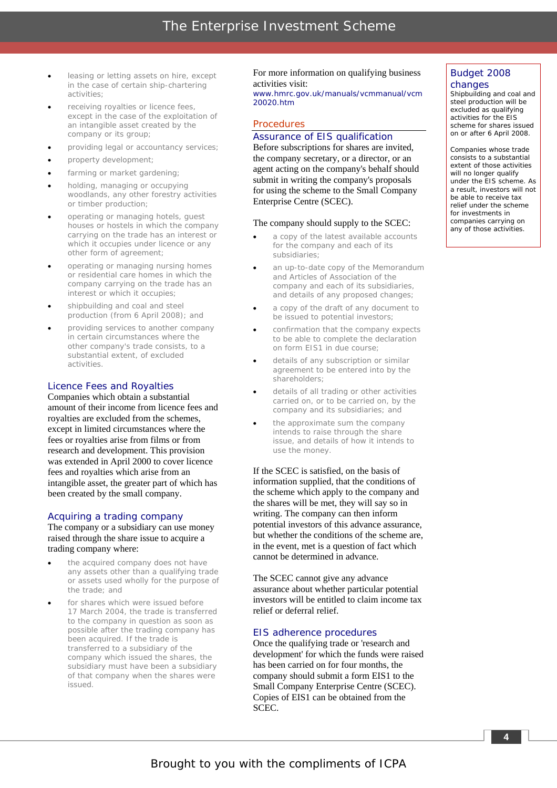- leasing or letting assets on hire, except in the case of certain ship-chartering activities;
- receiving royalties or licence fees, except in the case of the exploitation of an intangible asset created by the company or its group;
- providing legal or accountancy services;
- property development;
- farming or market gardening;
- holding, managing or occupying woodlands, any other forestry activities or timber production;
- operating or managing hotels, guest houses or hostels in which the company carrying on the trade has an interest or which it occupies under licence or any other form of agreement;
- operating or managing nursing homes or residential care homes in which the company carrying on the trade has an interest or which it occupies;
- shipbuilding and coal and steel production (from 6 April 2008); and
- providing services to another company in certain circumstances where the other company's trade consists, to a substantial extent, of excluded activities.

#### *Licence Fees and Royalties*

Companies which obtain a substantial amount of their income from licence fees and royalties are excluded from the schemes, except in limited circumstances where the fees or royalties arise from films or from research and development. This provision was extended in April 2000 to cover licence fees and royalties which arise from an intangible asset, the greater part of which has been created by the small company.

#### *Acquiring a trading company*

The company or a subsidiary can use money raised through the share issue to acquire a trading company where:

- the acquired company does not have any assets other than a qualifying trade or assets used wholly for the purpose of the trade; and
- for shares which were issued before 17 March 2004, the trade is transferred to the company in question as soon as possible after the trading company has been acquired. If the trade is transferred to a subsidiary of the company which issued the shares, the subsidiary must have been a subsidiary of that company when the shares were issued.

For more information on qualifying business activities visit: www.hmrc.gov.uk/manuals/vcmmanual/vcm 20020.htm

#### **Procedures**

#### *Assurance of EIS qualification*

Before subscriptions for shares are invited, the company secretary, or a director, or an agent acting on the company's behalf should submit in writing the company's proposals for using the scheme to the Small Company Enterprise Centre (SCEC).

#### The company should supply to the SCEC:

- a copy of the latest available accounts for the company and each of its subsidiaries;
- an up-to-date copy of the Memorandum and Articles of Association of the company and each of its subsidiaries, and details of any proposed changes;
- a copy of the draft of any document to be issued to potential investors;
- confirmation that the company expects to be able to complete the declaration on form EIS1 in due course;
- details of any subscription or similar agreement to be entered into by the shareholders;
- details of all trading or other activities carried on, or to be carried on, by the company and its subsidiaries; and
- the approximate sum the company intends to raise through the share issue, and details of how it intends to use the money.

If the SCEC is satisfied, on the basis of information supplied, that the conditions of the scheme which apply to the company and the shares will be met, they will say so in writing. The company can then inform potential investors of this advance assurance, but whether the conditions of the scheme are, in the event, met is a question of fact which cannot be determined in advance.

The SCEC cannot give any advance assurance about whether particular potential investors will be entitled to claim income tax relief or deferral relief.

#### *EIS adherence procedures*

Once the qualifying trade or 'research and development' for which the funds were raised has been carried on for four months, the company should submit a form EIS1 to the Small Company Enterprise Centre (SCEC). Copies of EIS1 can be obtained from the SCEC.

#### Budget 2008 changes

Shipbuilding and coal and steel production will be excluded as qualifying activities for the EIS scheme for shares issued on or after 6 April 2008.

Companies whose trade consists to a substantial extent of those activities will no longer qualify under the EIS scheme. As a result, investors will not be able to receive tax relief under the scheme for investments in companies carrying on any of those activities.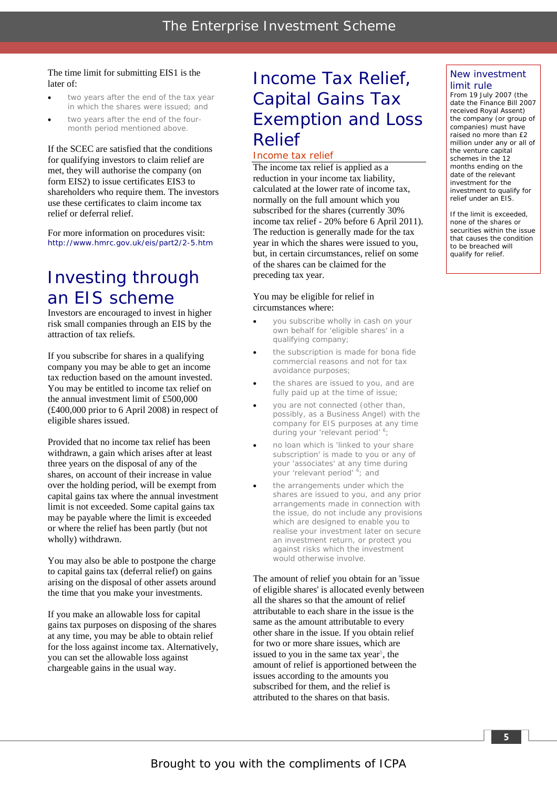#### The time limit for submitting EIS1 is the later of:

- two years after the end of the tax year in which the shares were issued; and
- two years after the end of the fourmonth period mentioned above.

If the SCEC are satisfied that the conditions for qualifying investors to claim relief are met, they will authorise the company (on form EIS2) to issue certificates EIS3 to shareholders who require them. The investors use these certificates to claim income tax relief or deferral relief.

For more information on procedures visit: http://www.hmrc.gov.uk/eis/part2/2-5.htm

### Investing through an EIS scheme

Investors are encouraged to invest in higher risk small companies through an EIS by the attraction of tax reliefs.

If you subscribe for shares in a qualifying company you may be able to get an income tax reduction based on the amount invested. You may be entitled to income tax relief on the annual investment limit of £500,000 (£400,000 prior to 6 April 2008) in respect of eligible shares issued.

Provided that no income tax relief has been withdrawn, a gain which arises after at least three years on the disposal of any of the shares, on account of their increase in value over the holding period, will be exempt from capital gains tax where the annual investment limit is not exceeded. Some capital gains tax may be payable where the limit is exceeded or where the relief has been partly (but not wholly) withdrawn.

You may also be able to postpone the charge to capital gains tax (deferral relief) on gains arising on the disposal of other assets around the time that you make your investments.

If you make an allowable loss for capital gains tax purposes on disposing of the shares at any time, you may be able to obtain relief for the loss against income tax. Alternatively, you can set the allowable loss against chargeable gains in the usual way.

### Income Tax Relief, Capital Gains Tax Exemption and Loss Relief

#### Income tax relief

The income tax relief is applied as a reduction in your income tax liability, calculated at the lower rate of income tax, normally on the full amount which you subscribed for the shares (currently 30% income tax relief - 20% before 6 April 2011). The reduction is generally made for the tax year in which the shares were issued to you, but, in certain circumstances, relief on some of the shares can be claimed for the preceding tax year.

#### You may be eligible for relief in circumstances where:

- you subscribe wholly in cash on your own behalf for 'eligible shares' in a qualifying company;
- the subscription is made for bona fide commercial reasons and not for tax avoidance purposes;
- the shares are issued to you, and are fully paid up at the time of issue;
- you are not connected (other than, possibly, as a Business Angel) with the company for EIS purposes at any time during your 'relevant period' <sup>6</sup>;
- no loan which is 'linked to your share subscription' is made to you or any of your 'associates' at any time during your 'relevant period' <sup>6</sup>; and
- the arrangements under which the shares are issued to you, and any prior arrangements made in connection with the issue, do not include any provisions which are designed to enable you to realise your investment later on secure an investment return, or protect you against risks which the investment would otherwise involve.

The amount of relief you obtain for an 'issue of eligible shares' is allocated evenly between all the shares so that the amount of relief attributable to each share in the issue is the same as the amount attributable to every other share in the issue. If you obtain relief for two or more share issues, which are issued to you in the same tax year<sup>5</sup>, the amount of relief is apportioned between the issues according to the amounts you subscribed for them, and the relief is attributed to the shares on that basis.

#### New investment limit rule

From 19 July 2007 (the date the Finance Bill 2007 received Royal Assent) the company (or group of companies) must have raised no more than £2 million under any or all of the venture capital schemes in the 12 months ending on the date of the relevant investment for the investment to qualify for relief under an EIS.

If the limit is exceeded, none of the shares or securities within the issue that causes the condition to be breached will qualify for relief.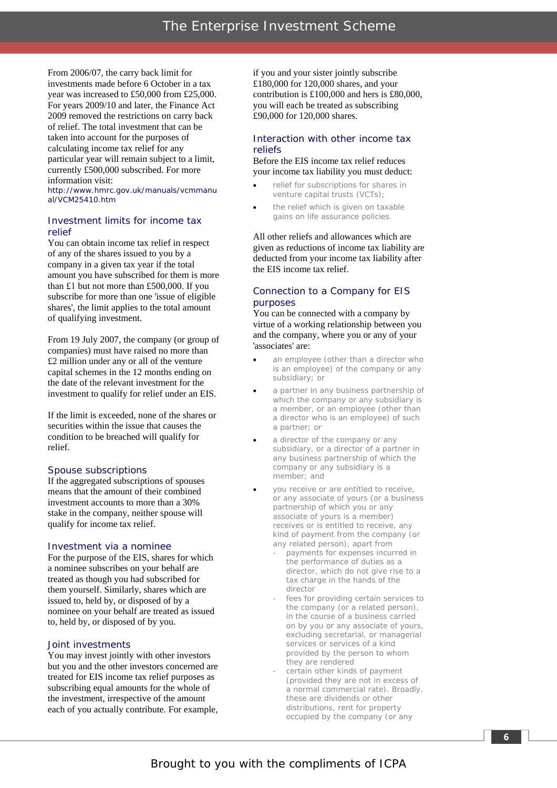From 2006/07, the carry back limit for investments made before 6 October in a tax year was increased to £50,000 from £25,000. For years 2009/10 and later, the Finance Act 2009 removed the restrictions on carry back of relief. The total investment that can be taken into account for the purposes of calculating income tax relief for any particular year will remain subject to a limit, currently £500,000 subscribed. For more information visit:

http://www.hmrc.gov.uk/manuals/vcmmanu al/VCM25410.htm

#### *Investment limits for income tax relief*

You can obtain income tax relief in respect of any of the shares issued to you by a company in a given tax year if the total amount you have subscribed for them is more subscribe for more than one 'issue of eligible shares', the limit applies to the total amount of qualifying investment. than £1 but not more than £500,000. If you

From 19 July 2007, the company (or group of companies) must have raised no more than £2 million under any or all of the venture capital schemes in the 12 months ending on the date of the relevant investment for the investment to qualify for relief under an EIS.

If the limit is exceeded, none of the shares or securities within the issue that causes the condition to be breached will qualify for relief.

#### *Spouse subscriptions*

If the aggregated subscriptions of spouses means that the amount of their combined investment accounts to more than a 30% stake in the company, neither spouse will qualify for income tax relief.

#### *Investment via a nominee*

For the purpose of the EIS, shares for which a nominee subscribes on your behalf are treated as though you had subscribed for them yourself. Similarly, shares which are issued to, held by, or disposed of by a nominee on your behalf are treated as issued to, held by, or disposed of by you.

#### *Joint investments*

You may invest jointly with other investors but you and the other investors concerned are treated for EIS income tax relief purposes as subscribing equal amounts for the whole of the investment, irrespective of the amount each of you actually contribute. For example,

if you and your sister jointly subscribe £180,000 for 120,000 shares, and your contribution is £100,000 and hers is £80,000, you will each be treated as subscribing £90,000 for 120,000 shares.

#### *Interaction with other income tax reliefs*

Before the EIS income tax relief reduces your income tax liability you must deduct:

- relief for subscriptions for shares in venture capital trusts (VCTs);
- the relief which is given on taxable gains on life assurance policies.

All other reliefs and allowances which are given as reductions of income tax liability are deducted from your income tax liability after the EIS income tax relief.

#### *Connection to a Company for EIS purposes*

You can be connected with a company by virtue of a working relationship between you and the company, where you or any of your 'associates' are:

- an employee (other than a director who is an employee) of the company or any subsidiary; or
- a partner in any business partnership of which the company or any subsidiary is a member, or an employee (other than a director who is an employee) of such a partner; or
- a director of the company or any subsidiary, or a director of a partner in any business partnership of which the company or any subsidiary is a member; and
- you receive or are entitled to receive, or any associate of yours (or a business partnership of which you or any associate of yours is a member) receives or is entitled to receive, any kind of payment from the company (or any related person), apart from
	- payments for expenses incurred in the performance of duties as a director, which do not give rise to a tax charge in the hands of the director
	- fees for providing certain services to the company (or a related person), in the course of a business carried on by you or any associate of yours, excluding secretarial, or managerial services or services of a kind provided by the person to whom they are rendered
	- certain other kinds of payment (provided they are not in excess of a normal commercial rate). Broadly, these are dividends or other distributions, rent for property occupied by the company (or any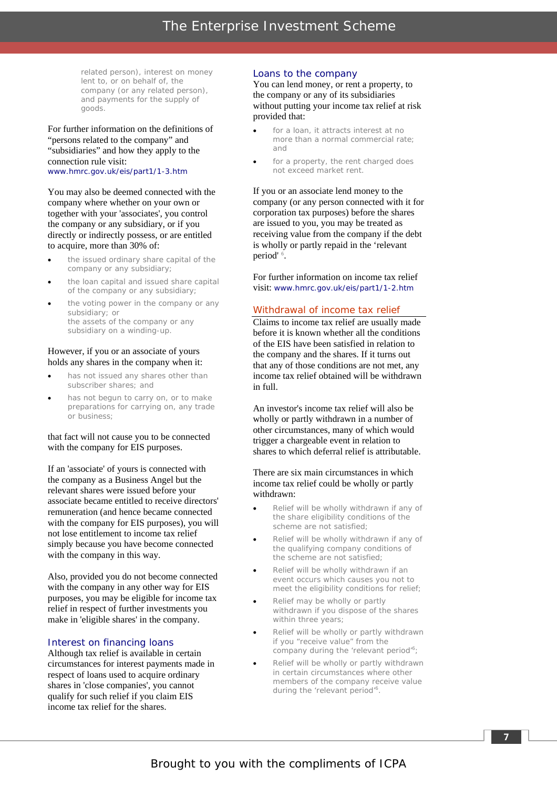related person), interest on money lent to, or on behalf of, the company (or any related person), and payments for the supply of goods.

For further information on the definitions of "persons related to the company" and "subsidiaries" and how they apply to the connection rule visit: www.hmrc.gov.uk/eis/part1/1-3.htm

You may also be deemed connected with the company where whether on your own or together with your 'associates', you control the company or any subsidiary, or if you directly or indirectly possess, or are entitled to acquire, more than 30% of:

- the issued ordinary share capital of the company or any subsidiary;
- the loan capital and issued share capital of the company or any subsidiary;
- the voting power in the company or any subsidiary; or the assets of the company or any subsidiary on a winding-up.

#### However, if you or an associate of yours holds any shares in the company when it:

- has not issued any shares other than subscriber shares; and
- has not begun to carry on, or to make preparations for carrying on, any trade or business;

#### that fact will not cause you to be connected with the company for EIS purposes.

If an 'associate' of yours is connected with the company as a Business Angel but the relevant shares were issued before your associate became entitled to receive directors' remuneration (and hence became connected with the company for EIS purposes), you will not lose entitlement to income tax relief simply because you have become connected with the company in this way.

Also, provided you do not become connected with the company in any other way for EIS purposes, you may be eligible for income tax relief in respect of further investments you make in 'eligible shares' in the company.

#### *Interest on financing loans*

Although tax relief is available in certain circumstances for interest payments made in respect of loans used to acquire ordinary shares in 'close companies', you cannot qualify for such relief if you claim EIS income tax relief for the shares.

#### *Loans to the company*

You can lend money, or rent a property, to the company or any of its subsidiaries without putting your income tax relief at risk provided that:

- for a loan, it attracts interest at no more than a normal commercial rate; and
- for a property, the rent charged does not exceed market rent.

If you or an associate lend money to the company (or any person connected with it for corporation tax purposes) before the shares are issued to you, you may be treated as receiving value from the company if the debt is wholly or partly repaid in the 'relevant period'<sup>6</sup>.

For further information on income tax relief visit: www.hmrc.gov.uk/eis/part1/1-2.htm

#### Withdrawal of income tax relief

Claims to income tax relief are usually made before it is known whether all the conditions of the EIS have been satisfied in relation to the company and the shares. If it turns out that any of those conditions are not met, any income tax relief obtained will be withdrawn in full.

An investor's income tax relief will also be wholly or partly withdrawn in a number of other circumstances, many of which would trigger a chargeable event in relation to shares to which deferral relief is attributable.

#### There are six main circumstances in which income tax relief could be wholly or partly withdrawn:

- Relief will be wholly withdrawn if any of the share eligibility conditions of the scheme are not satisfied;
- Relief will be wholly withdrawn if any of the qualifying company conditions of the scheme are not satisfied;
- Relief will be wholly withdrawn if an event occurs which causes you not to meet the eligibility conditions for relief;
- Relief may be wholly or partly withdrawn if you dispose of the shares within three years;
- Relief will be wholly or partly withdrawn if you "receive value" from the company during the 'relevant period'<sup>6</sup>;
- Relief will be wholly or partly withdrawn in certain circumstances where other members of the company receive value during the 'relevant period'<sup>6</sup>.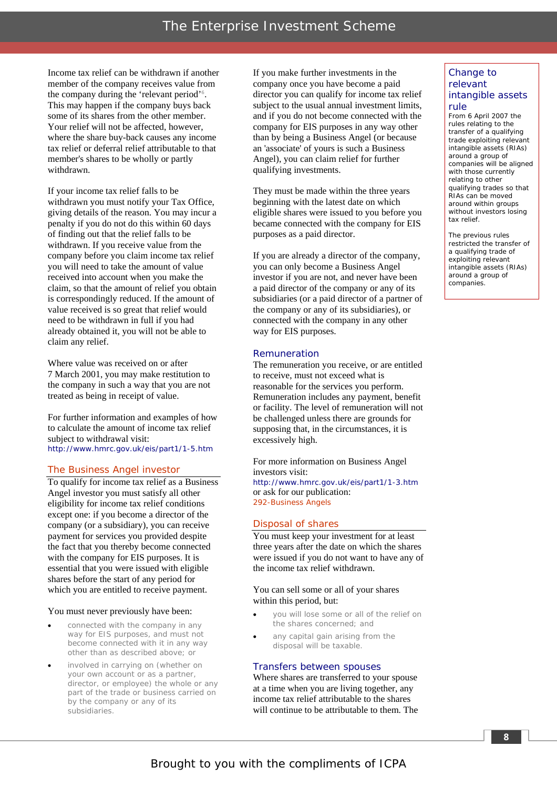Income tax relief can be withdrawn if another member of the company receives value from the company during the 'relevant period'<sup>6</sup>. This may happen if the company buys back some of its shares from the other member. Your relief will not be affected, however, where the share buy-back causes any income tax relief or deferral relief attributable to that member's shares to be wholly or partly withdrawn.

If your income tax relief falls to be withdrawn you must notify your Tax Office, giving details of the reason. You may incur a penalty if you do not do this within 60 days of finding out that the relief falls to be withdrawn. If you receive value from the company before you claim income tax relief you will need to take the amount of value received into account when you make the claim, so that the amount of relief you obtain is correspondingly reduced. If the amount of value received is so great that relief would need to be withdrawn in full if you had already obtained it, you will not be able to claim any relief.

Where value was received on or after 7 March 2001, you may make restitution to the company in such a way that you are not treated as being in receipt of value.

For further information and examples of how to calculate the amount of income tax relief subject to withdrawal visit: http://www.hmrc.gov.uk/eis/part1/1-5.htm

#### The Business Angel investor

To qualify for income tax relief as a Business Angel investor you must satisfy all other eligibility for income tax relief conditions except one: if you become a director of the company (or a subsidiary), you can receive payment for services you provided despite the fact that you thereby become connected with the company for EIS purposes. It is essential that you were issued with eligible shares before the start of any period for which you are entitled to receive payment.

#### You must never previously have been:

- connected with the company in any way for EIS purposes, and must not become connected with it in any way other than as described above; or
- involved in carrying on (whether on your own account or as a partner, director, or employee) the whole or any part of the trade or business carried on by the company or any of its subsidiaries.

If you make further investments in the company once you have become a paid director you can qualify for income tax relief subject to the usual annual investment limits, and if you do not become connected with the company for EIS purposes in any way other than by being a Business Angel (or because an 'associate' of yours is such a Business Angel), you can claim relief for further qualifying investments.

They must be made within the three years beginning with the latest date on which eligible shares were issued to you before you became connected with the company for EIS purposes as a paid director.

If you are already a director of the company, you can only become a Business Angel investor if you are not, and never have been a paid director of the company or any of its subsidiaries (or a paid director of a partner of the company or any of its subsidiaries), or connected with the company in any other way for EIS purposes.

#### *Remuneration*

The remuneration you receive, or are entitled to receive, must not exceed what is reasonable for the services you perform. Remuneration includes any payment, benefit or facility. The level of remuneration will not be challenged unless there are grounds for supposing that, in the circumstances, it is excessively high.

For more information on Business Angel investors visit: http://www.hmrc.gov.uk/eis/part1/1-3.htm or ask for our publication: 292-Business Angels

#### Disposal of shares

You must keep your investment for at least three years after the date on which the shares were issued if you do not want to have any of the income tax relief withdrawn.

#### You can sell some or all of your shares within this period, but:

- you will lose some or all of the relief on the shares concerned; and
- any capital gain arising from the disposal will be taxable.

#### *Transfers between spouses*

Where shares are transferred to your spouse at a time when you are living together, any income tax relief attributable to the shares will continue to be attributable to them. The

#### Change to relevant intangible assets

#### rule

From 6 April 2007 the rules relating to the transfer of a qualifying trade exploiting relevant intangible assets (RIAs) around a group of companies will be aligned with those currently relating to other qualifying trades so that RIAs can be moved around within groups without investors losing tax relief.

The previous rules restricted the transfer of a qualifying trade of exploiting relevant intangible assets (RIAs) around a group of companies.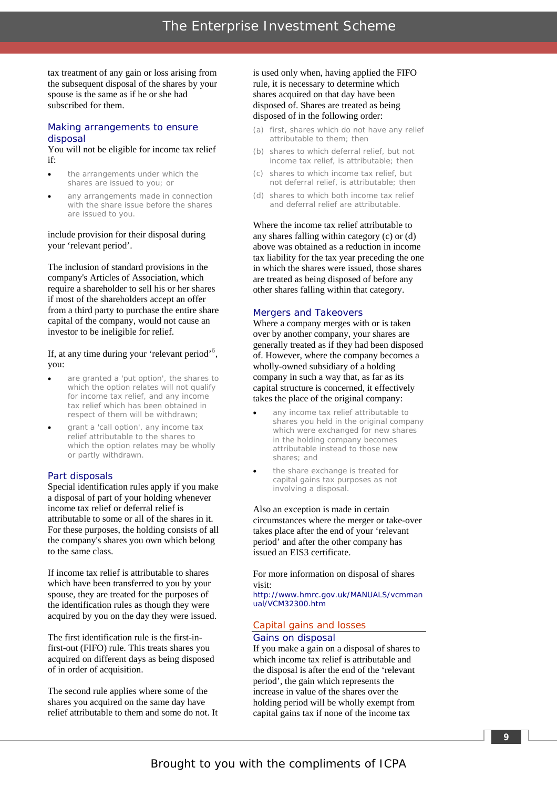tax treatment of any gain or loss arising from the subsequent disposal of the shares by your spouse is the same as if he or she had subscribed for them.

#### *Making arrangements to ensure disposal*

You will not be eligible for income tax relief if:

- the arrangements under which the shares are issued to you; or
- any arrangements made in connection with the share issue before the shares are issued to you.

#### include provision for their disposal during your 'relevant period'.

The inclusion of standard provisions in the company's Articles of Association, which require a shareholder to sell his or her shares if most of the shareholders accept an offer from a third party to purchase the entire share capital of the company, would not cause an investor to be ineligible for relief.

#### If, at any time during your 'relevant period'<sup>6</sup>, you:

- are granted a 'put option', the shares to which the option relates will not qualify for income tax relief, and any income tax relief which has been obtained in respect of them will be withdrawn;
- grant a 'call option', any income tax relief attributable to the shares to which the option relates may be wholly or partly withdrawn.

#### *Part disposals*

Special identification rules apply if you make a disposal of part of your holding whenever income tax relief or deferral relief is attributable to some or all of the shares in it. For these purposes, the holding consists of all the company's shares you own which belong to the same class.

If income tax relief is attributable to shares which have been transferred to you by your spouse, they are treated for the purposes of the identification rules as though they were acquired by you on the day they were issued.

The first identification rule is the first-infirst-out (FIFO) rule. This treats shares you acquired on different days as being disposed of in order of acquisition.

The second rule applies where some of the shares you acquired on the same day have relief attributable to them and some do not. It is used only when, having applied the FIFO rule, it is necessary to determine which shares acquired on that day have been disposed of. Shares are treated as being disposed of in the following order:

- (a) first, shares which do not have any relief attributable to them; then
- (b) shares to which deferral relief, but not income tax relief, is attributable; then
- (c) shares to which income tax relief, but not deferral relief, is attributable; then
- (d) shares to which both income tax relief and deferral relief are attributable.

Where the income tax relief attributable to any shares falling within category (c) or (d) above was obtained as a reduction in income tax liability for the tax year preceding the one in which the shares were issued, those shares are treated as being disposed of before any other shares falling within that category.

#### *Mergers and Takeovers*

Where a company merges with or is taken over by another company, your shares are generally treated as if they had been disposed of. However, where the company becomes a wholly-owned subsidiary of a holding company in such a way that, as far as its capital structure is concerned, it effectively takes the place of the original company:

- any income tax relief attributable to shares you held in the original company which were exchanged for new shares in the holding company becomes attributable instead to those new shares; and
- the share exchange is treated for capital gains tax purposes as not involving a disposal.

Also an exception is made in certain circumstances where the merger or take-over takes place after the end of your 'relevant period' and after the other company has issued an EIS3 certificate.

For more information on disposal of shares visit:

http://www.hmrc.gov.uk/MANUALS/vcmman ual/VCM32300.htm

#### Capital gains and losses

#### *Gains on disposal*

If you make a gain on a disposal of shares to which income tax relief is attributable and the disposal is after the end of the 'relevant period', the gain which represents the increase in value of the shares over the holding period will be wholly exempt from capital gains tax if none of the income tax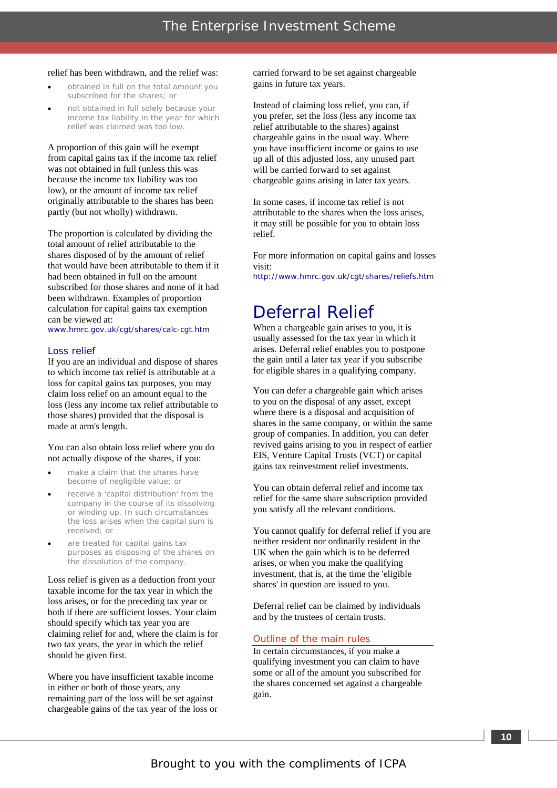#### relief has been withdrawn, and the relief was:

- obtained in full on the total amount you subscribed for the shares; or
- not obtained in full solely because your income tax liability in the year for which relief was claimed was too low.

A proportion of this gain will be exempt from capital gains tax if the income tax relief was not obtained in full (unless this was because the income tax liability was too low), or the amount of income tax relief originally attributable to the shares has been partly (but not wholly) withdrawn.

The proportion is calculated by dividing the total amount of relief attributable to the shares disposed of by the amount of relief that would have been attributable to them if it had been obtained in full on the amount subscribed for those shares and none of it had been withdrawn. Examples of proportion calculation for capital gains tax exemption can be viewed at:

www.hmrc.gov.uk/cgt/shares/calc-cgt.htm

#### *Loss relief*

If you are an individual and dispose of shares to which income tax relief is attributable at a loss for capital gains tax purposes, you may claim loss relief on an amount equal to the loss (less any income tax relief attributable to those shares) provided that the disposal is made at arm's length.

#### You can also obtain loss relief where you do not actually dispose of the shares, if you:

- make a claim that the shares have become of negligible value; or
- receive a 'capital distribution' from the company in the course of its dissolving or winding up. In such circumstances the loss arises when the capital sum is received; or
- are treated for capital gains tax purposes as disposing of the shares on the dissolution of the company.

Loss relief is given as a deduction from your taxable income for the tax year in which the loss arises, or for the preceding tax year or both if there are sufficient losses. Your claim should specify which tax year you are claiming relief for and, where the claim is for two tax years, the year in which the relief should be given first.

Where you have insufficient taxable income in either or both of those years, any remaining part of the loss will be set against chargeable gains of the tax year of the loss or carried forward to be set against chargeable gains in future tax years.

Instead of claiming loss relief, you can, if you prefer, set the loss (less any income tax relief attributable to the shares) against chargeable gains in the usual way. Where you have insufficient income or gains to use up all of this adjusted loss, any unused part will be carried forward to set against chargeable gains arising in later tax years.

In some cases, if income tax relief is not attributable to the shares when the loss arises, it may still be possible for you to obtain loss relief.

For more information on capital gains and losses visit:

http://www.hmrc.gov.uk/cgt/shares/reliefs.htm

### Deferral Relief

When a chargeable gain arises to you, it is usually assessed for the tax year in which it arises. Deferral relief enables you to postpone the gain until a later tax year if you subscribe for eligible shares in a qualifying company.

You can defer a chargeable gain which arises to you on the disposal of any asset, except where there is a disposal and acquisition of shares in the same company, or within the same group of companies. In addition, you can defer revived gains arising to you in respect of earlier EIS, Venture Capital Trusts (VCT) or capital gains tax reinvestment relief investments.

You can obtain deferral relief and income tax relief for the same share subscription provided you satisfy all the relevant conditions.

You cannot qualify for deferral relief if you are neither resident nor ordinarily resident in the UK when the gain which is to be deferred arises, or when you make the qualifying investment, that is, at the time the 'eligible shares' in question are issued to you.

Deferral relief can be claimed by individuals and by the trustees of certain trusts.

#### Outline of the main rules

In certain circumstances, if you make a qualifying investment you can claim to have some or all of the amount you subscribed for the shares concerned set against a chargeable gain.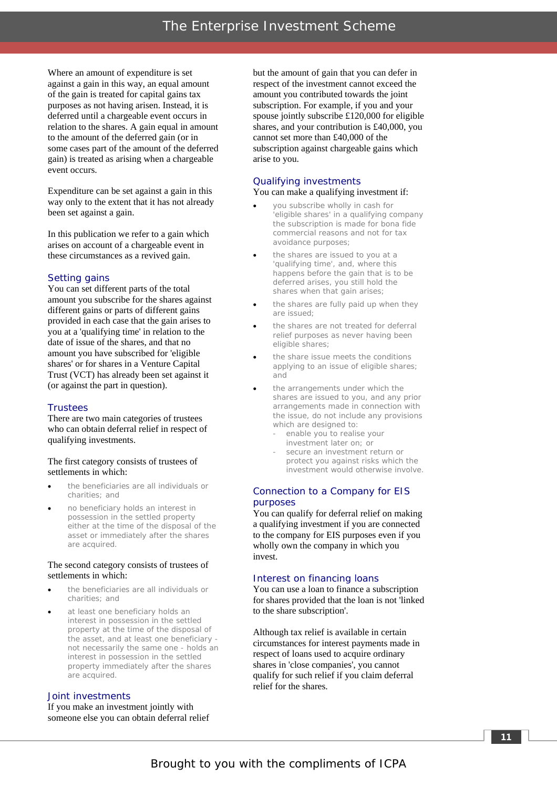Where an amount of expenditure is set against a gain in this way, an equal amount of the gain is treated for capital gains tax purposes as not having arisen. Instead, it is deferred until a chargeable event occurs in relation to the shares. A gain equal in amount to the amount of the deferred gain (or in some cases part of the amount of the deferred gain) is treated as arising when a chargeable event occurs.

Expenditure can be set against a gain in this way only to the extent that it has not already been set against a gain.

In this publication we refer to a gain which arises on account of a chargeable event in these circumstances as a revived gain.

#### *Setting gains*

You can set different parts of the total amount you subscribe for the shares against different gains or parts of different gains provided in each case that the gain arises to you at a 'qualifying time' in relation to the date of issue of the shares, and that no amount you have subscribed for 'eligible shares' or for shares in a Venture Capital Trust (VCT) has already been set against it (or against the part in question).

#### *Trustees*

There are two main categories of trustees who can obtain deferral relief in respect of qualifying investments.

#### The first category consists of trustees of settlements in which:

- the beneficiaries are all individuals or charities; and
- no beneficiary holds an interest in possession in the settled property either at the time of the disposal of the asset or immediately after the shares are acquired.

#### The second category consists of trustees of settlements in which:

- the beneficiaries are all individuals or charities; and
- at least one beneficiary holds an interest in possession in the settled property at the time of the disposal of the asset, and at least one beneficiary not necessarily the same one - holds an interest in possession in the settled property immediately after the shares are acquired.

#### *Joint investments*

If you make an investment jointly with someone else you can obtain deferral relief but the amount of gain that you can defer in respect of the investment cannot exceed the amount you contributed towards the joint subscription. For example, if you and your spouse jointly subscribe £120,000 for eligible shares, and your contribution is £40,000, you cannot set more than £40,000 of the subscription against chargeable gains which arise to you.

#### *Qualifying investments*

You can make a qualifying investment if:

- you subscribe wholly in cash for 'eligible shares' in a qualifying company the subscription is made for bona fide commercial reasons and not for tax avoidance purposes;
- the shares are issued to you at a 'qualifying time', and, where this happens before the gain that is to be deferred arises, you still hold the shares when that gain arises;
- the shares are fully paid up when they are issued;
- the shares are not treated for deferral relief purposes as never having been eligible shares;
- the share issue meets the conditions applying to an issue of eligible shares; and
- the arrangements under which the shares are issued to you, and any prior arrangements made in connection with the issue, do not include any provisions which are designed to:
	- enable you to realise your investment later on; or
	- secure an investment return or protect you against risks which the investment would otherwise involve.

#### *Connection to a Company for EIS purposes*

You can qualify for deferral relief on making a qualifying investment if you are connected to the company for EIS purposes even if you wholly own the company in which you invest.

#### *Interest on financing loans*

You can use a loan to finance a subscription for shares provided that the loan is not 'linked to the share subscription'.

Although tax relief is available in certain circumstances for interest payments made in respect of loans used to acquire ordinary shares in 'close companies', you cannot qualify for such relief if you claim deferral relief for the shares.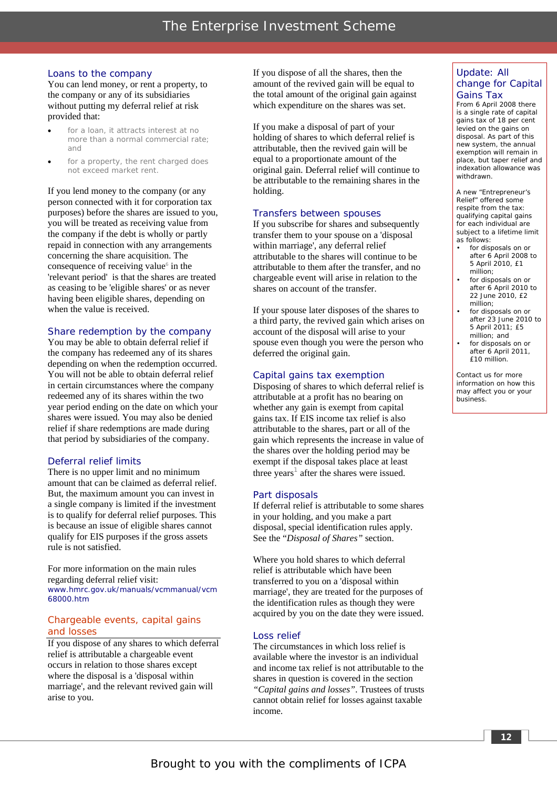#### *Loans to the company*

You can lend money, or rent a property, to the company or any of its subsidiaries without putting my deferral relief at risk provided that:

- for a loan, it attracts interest at no more than a normal commercial rate; and
- for a property, the rent charged does not exceed market rent.

If you lend money to the company (or any person connected with it for corporation tax purposes) before the shares are issued to you, you will be treated as receiving value from the company if the debt is wholly or partly repaid in connection with any arrangements concerning the share acquisition. The consequence of receiving value<sup>6</sup> in the 'relevant period' is that the shares are treated as ceasing to be 'eligible shares' or as never having been eligible shares, depending on when the value is received.

#### *Share redemption by the company*

You may be able to obtain deferral relief if the company has redeemed any of its shares depending on when the redemption occurred. You will not be able to obtain deferral relief in certain circumstances where the company redeemed any of its shares within the two year period ending on the date on which your shares were issued. You may also be denied relief if share redemptions are made during that period by subsidiaries of the company.

#### *Deferral relief limits*

There is no upper limit and no minimum amount that can be claimed as deferral relief. But, the maximum amount you can invest in a single company is limited if the investment is to qualify for deferral relief purposes. This is because an issue of eligible shares cannot qualify for EIS purposes if the gross assets rule is not satisfied.

For more information on the main rules regarding deferral relief visit: www.hmrc.gov.uk/manuals/vcmmanual/vcm 68000.htm

#### Chargeable events, capital gains and losses

If you dispose of any shares to which deferral relief is attributable a chargeable event occurs in relation to those shares except where the disposal is a 'disposal within marriage', and the relevant revived gain will arise to you.

If you dispose of all the shares, then the amount of the revived gain will be equal to the total amount of the original gain against which expenditure on the shares was set.

If you make a disposal of part of your holding of shares to which deferral relief is attributable, then the revived gain will be equal to a proportionate amount of the original gain. Deferral relief will continue to be attributable to the remaining shares in the holding.

#### *Transfers between spouses*

If you subscribe for shares and subsequently transfer them to your spouse on a 'disposal within marriage', any deferral relief attributable to the shares will continue to be attributable to them after the transfer, and no chargeable event will arise in relation to the shares on account of the transfer.

If your spouse later disposes of the shares to a third party, the revived gain which arises on account of the disposal will arise to your spouse even though you were the person who deferred the original gain.

#### *Capital gains tax exemption*

Disposing of shares to which deferral relief is attributable at a profit has no bearing on whether any gain is exempt from capital gains tax. If EIS income tax relief is also attributable to the shares, part or all of the gain which represents the increase in value of the shares over the holding period may be exempt if the disposal takes place at least three years<sup>1</sup> after the shares were issued.

#### *Part disposals*

If deferral relief is attributable to some shares in your holding, and you make a part disposal, special identification rules apply. See the "*Disposal of Shares"* section.

Where you hold shares to which deferral relief is attributable which have been transferred to you on a 'disposal within marriage', they are treated for the purposes of the identification rules as though they were acquired by you on the date they were issued.

#### *Loss relief*

The circumstances in which loss relief is available where the investor is an individual and income tax relief is not attributable to the shares in question is covered in the section *"Capital gains and losses"*. Trustees of trusts cannot obtain relief for losses against taxable income.

#### Update: All change for Capital Gains Tax

From 6 April 2008 there is a single rate of capital gains tax of 18 per cent levied on the gains on disposal. As part of this new system, the annual exemption will remain in place, but taper relief and .<br>indexation allowance was withdrawn.

A new "Entrepreneur's Relief" offered some respite from the tax: qualifying capital gains for each individual are subject to a lifetime limit as follows:

- for disposals on or after 6 April 2008 to 5 April 2010, £1 million;
- for disposals on or after 6 April 2010 to 22 June 2010, £2 million;
- for disposals on or after 23 June 2010 to 5 April 2011; £5 million; and
- for disposals on or after 6 April 2011, £10 million.

Contact us for more information on how this may affect you or your business.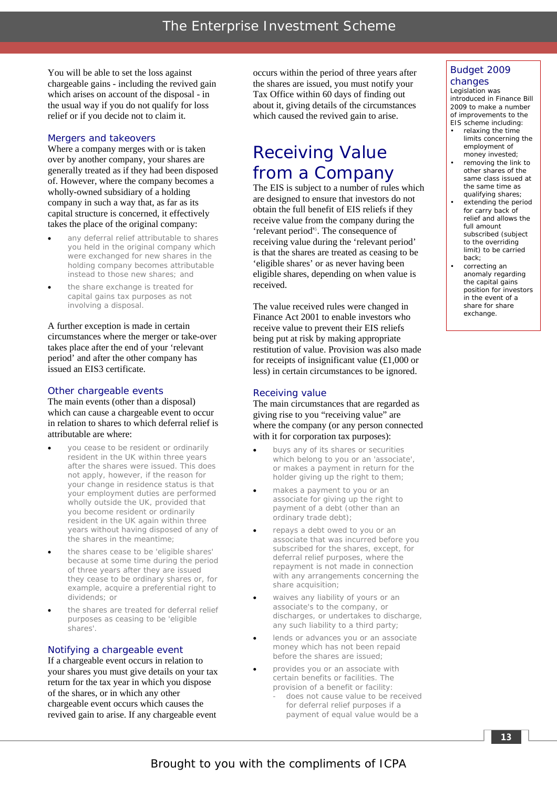You will be able to set the loss against chargeable gains - including the revived gain which arises on account of the disposal - in the usual way if you do not qualify for loss relief or if you decide not to claim it.

#### *Mergers and takeovers*

Where a company merges with or is taken over by another company, your shares are generally treated as if they had been disposed of. However, where the company becomes a wholly-owned subsidiary of a holding company in such a way that, as far as its capital structure is concerned, it effectively takes the place of the original company:

- any deferral relief attributable to shares you held in the original company which were exchanged for new shares in the holding company becomes attributable instead to those new shares; and
- the share exchange is treated for capital gains tax purposes as not involving a disposal.

A further exception is made in certain circumstances where the merger or take-over takes place after the end of your 'relevant period' and after the other company has issued an EIS3 certificate.

#### *Other chargeable events*

The main events (other than a disposal) which can cause a chargeable event to occur in relation to shares to which deferral relief is attributable are where:

- you cease to be resident or ordinarily resident in the UK within three years after the shares were issued. This does not apply, however, if the reason for your change in residence status is that your employment duties are performed wholly outside the UK, provided that you become resident or ordinarily resident in the UK again within three years without having disposed of any of the shares in the meantime;
- the shares cease to be 'eligible shares' because at some time during the period of three years after they are issued they cease to be ordinary shares or, for example, acquire a preferential right to dividends; or
- the shares are treated for deferral relief purposes as ceasing to be 'eligible shares'.

#### *Notifying a chargeable event*

If a chargeable event occurs in relation to your shares you must give details on your tax return for the tax year in which you dispose of the shares, or in which any other chargeable event occurs which causes the revived gain to arise. If any chargeable event

occurs within the period of three years after the shares are issued, you must notify your Tax Office within 60 days of finding out about it, giving details of the circumstances which caused the revived gain to arise.

### Receiving Value from a Company

The EIS is subject to a number of rules which are designed to ensure that investors do not obtain the full benefit of EIS reliefs if they receive value from the company during the 'relevant period'<sup>6</sup> . The consequence of receiving value during the 'relevant period' is that the shares are treated as ceasing to be 'eligible shares' or as never having been eligible shares, depending on when value is received.

The value received rules were changed in Finance Act 2001 to enable investors who receive value to prevent their EIS reliefs being put at risk by making appropriate restitution of value. Provision was also made for receipts of insignificant value  $(\text{\pounds}1,000)$  or less) in certain circumstances to be ignored.

#### *Receiving value*

The main circumstances that are regarded as giving rise to you "receiving value" are where the company (or any person connected with it for corporation tax purposes):

- buys any of its shares or securities which belong to you or an 'associate', or makes a payment in return for the holder giving up the right to them;
- makes a payment to you or an associate for giving up the right to payment of a debt (other than an ordinary trade debt);
- repays a debt owed to you or an associate that was incurred before you subscribed for the shares, except, for deferral relief purposes, where the repayment is not made in connection with any arrangements concerning the share acquisition;
- waives any liability of yours or an associate's to the company, or discharges, or undertakes to discharge, any such liability to a third party;
- lends or advances you or an associate money which has not been repaid before the shares are issued;
	- provides you or an associate with certain benefits or facilities. The provision of a benefit or facility:
		- does not cause value to be received for deferral relief purposes if a payment of equal value would be a

#### Budget 2009 changes

Legislation was introduced in Finance Bill 2009 to make a number of improvements to the EIS scheme including:

- relaxing the time limits concerning the employment of
- money invested; • removing the link to other shares of the same class issued at the same time as qualifying shares;
- extending the period for carry back of relief and allows the full amount subscribed (subject to the overriding limit) to be carried back;
- correcting an anomaly regarding the capital gains position for investors in the event of a share for share exchange.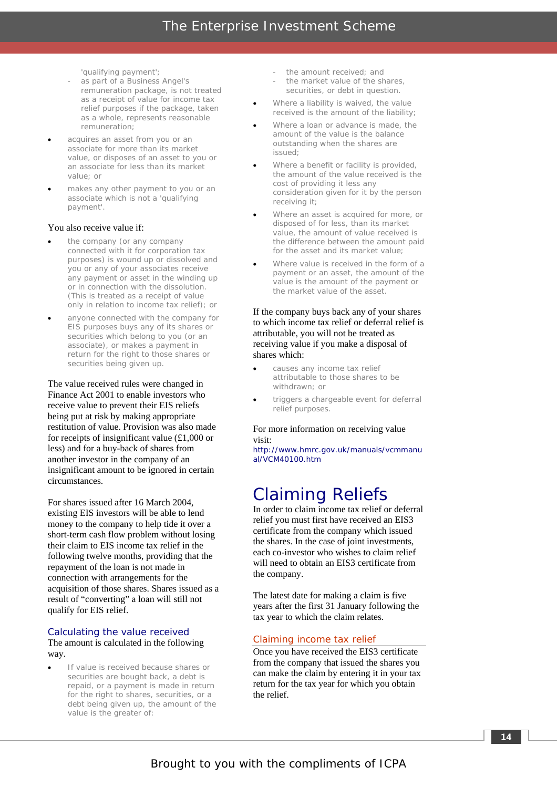'qualifying payment';

- as part of a Business Angel's remuneration package, is not treated as a receipt of value for income tax relief purposes if the package, taken as a whole, represents reasonable remuneration;
- acquires an asset from you or an associate for more than its market value, or disposes of an asset to you or an associate for less than its market value; or
- makes any other payment to you or an associate which is not a 'qualifying payment'.

#### You also receive value if:

- the company (or any company connected with it for corporation tax purposes) is wound up or dissolved and you or any of your associates receive any payment or asset in the winding up or in connection with the dissolution. (This is treated as a receipt of value only in relation to income tax relief); or
- anyone connected with the company for EIS purposes buys any of its shares or securities which belong to you (or an associate), or makes a payment in return for the right to those shares or securities being given up.

The value received rules were changed in Finance Act 2001 to enable investors who receive value to prevent their EIS reliefs being put at risk by making appropriate restitution of value. Provision was also made for receipts of insignificant value (£1,000 or less) and for a buy-back of shares from another investor in the company of an insignificant amount to be ignored in certain circumstances.

For shares issued after 16 March 2004, existing EIS investors will be able to lend money to the company to help tide it over a short-term cash flow problem without losing their claim to EIS income tax relief in the following twelve months, providing that the repayment of the loan is not made in connection with arrangements for the acquisition of those shares. Shares issued as a result of "converting" a loan will still not qualify for EIS relief.

#### *Calculating the value received*

#### The amount is calculated in the following way.

If value is received because shares or securities are bought back, a debt is repaid, or a payment is made in return for the right to shares, securities, or a debt being given up, the amount of the value is the greater of:

- the amount received; and
- the market value of the shares, securities, or debt in question.
- Where a liability is waived, the value received is the amount of the liability;
- Where a loan or advance is made, the amount of the value is the balance outstanding when the shares are issued;
- Where a benefit or facility is provided, the amount of the value received is the cost of providing it less any consideration given for it by the person receiving it;
- Where an asset is acquired for more, or disposed of for less, than its market value, the amount of value received is the difference between the amount paid for the asset and its market value;
- Where value is received in the form of a payment or an asset, the amount of the value is the amount of the payment or the market value of the asset.

If the company buys back any of your shares to which income tax relief or deferral relief is attributable, you will not be treated as receiving value if you make a disposal of shares which:

- causes any income tax relief attributable to those shares to be withdrawn; or
- triggers a chargeable event for deferral relief purposes.

#### For more information on receiving value visit:

http://www.hmrc.gov.uk/manuals/vcmmanu al/VCM40100.htm

### Claiming Reliefs

In order to claim income tax relief or deferral relief you must first have received an EIS3 certificate from the company which issued the shares. In the case of joint investments, each co-investor who wishes to claim relief will need to obtain an EIS3 certificate from the company.

The latest date for making a claim is five years after the first 31 January following the tax year to which the claim relates.

#### Claiming income tax relief

Once you have received the EIS3 certificate from the company that issued the shares you can make the claim by entering it in your tax return for the tax year for which you obtain the relief.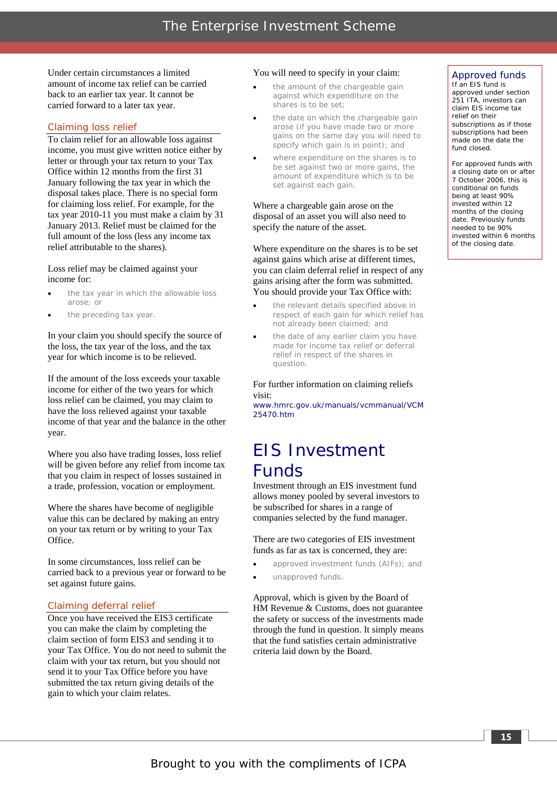Under certain circumstances a limited amount of income tax relief can be carried back to an earlier tax year. It cannot be carried forward to a later tax year.

#### Claiming loss relief

To claim relief for an allowable loss against income, you must give written notice either by letter or through your tax return to your Tax Office within 12 months from the first 31 January following the tax year in which the disposal takes place. There is no special form for claiming loss relief. For example, for the tax year 2010-11 you must make a claim by 31 January 2013. Relief must be claimed for the full amount of the loss (less any income tax relief attributable to the shares).

Loss relief may be claimed against your income for:

- the tax year in which the allowable loss arose; or
- the preceding tax year.

In your claim you should specify the source of the loss, the tax year of the loss, and the tax year for which income is to be relieved.

If the amount of the loss exceeds your taxable income for either of the two years for which loss relief can be claimed, you may claim to have the loss relieved against your taxable income of that year and the balance in the other year.

Where you also have trading losses, loss relief will be given before any relief from income tax that you claim in respect of losses sustained in a trade, profession, vocation or employment.

Where the shares have become of negligible value this can be declared by making an entry on your tax return or by writing to your Tax **Office** 

In some circumstances, loss relief can be carried back to a previous year or forward to be set against future gains.

#### Claiming deferral relief

Once you have received the EIS3 certificate you can make the claim by completing the claim section of form EIS3 and sending it to your Tax Office. You do not need to submit the claim with your tax return, but you should not send it to your Tax Office before you have submitted the tax return giving details of the gain to which your claim relates.

#### You will need to specify in your claim:

- the amount of the chargeable gain against which expenditure on the shares is to be set;
- the date on which the chargeable gain arose (if you have made two or more gains on the same day you will need to specify which gain is in point); and
- where expenditure on the shares is to be set against two or more gains, the amount of expenditure which is to be set against each gain.

#### Where a chargeable gain arose on the disposal of an asset you will also need to specify the nature of the asset.

Where expenditure on the shares is to be set against gains which arise at different times, you can claim deferral relief in respect of any gains arising after the form was submitted. You should provide your Tax Office with:

- the relevant details specified above in respect of each gain for which relief has not already been claimed; and
- the date of any earlier claim you have made for income tax relief or deferral relief in respect of the shares in question.

#### For further information on claiming reliefs visit:

www.hmrc.gov.uk/manuals/vcmmanual/VCM 25470.htm

### EIS Investment Funds

Investment through an EIS investment fund allows money pooled by several investors to be subscribed for shares in a range of companies selected by the fund manager.

There are two categories of EIS investment funds as far as tax is concerned, they are:

- approved investment funds (AIFs); and
- unapproved funds.

Approval, which is given by the Board of HM Revenue & Customs, does not guarantee the safety or success of the investments made through the fund in question. It simply means that the fund satisfies certain administrative criteria laid down by the Board.

#### Approved funds

If an EIS fund is approved under section 251 ITA, investors can claim EIS income tax relief on their subscriptions as if those subscriptions had been made on the date the fund closed.

For approved funds with a closing date on or after 7 October 2006, this is conditional on funds being at least 90% invested within 12 months of the closing date. Previously funds needed to be 90% invested within 6 months of the closing date.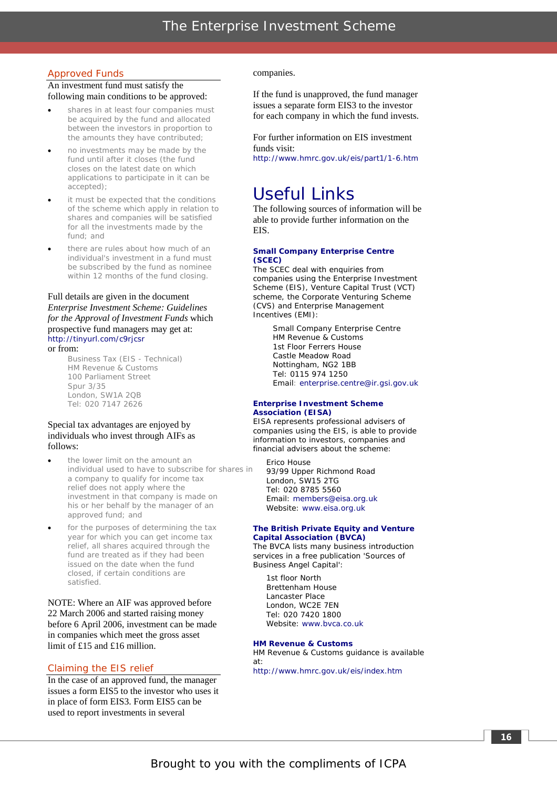#### Approved Funds

#### An investment fund must satisfy the following main conditions to be approved:

- shares in at least four companies must be acquired by the fund and allocated between the investors in proportion to the amounts they have contributed;
- no investments may be made by the fund until after it closes (the fund closes on the latest date on which applications to participate in it can be accepted);
- it must be expected that the conditions of the scheme which apply in relation to shares and companies will be satisfied for all the investments made by the fund; and
- there are rules about how much of an individual's investment in a fund must be subscribed by the fund as nominee within 12 months of the fund closing.

#### Full details are given in the document *Enterprise Investment Scheme: Guidelines for the Approval of Investment Funds* which prospective fund managers may get at: http://tinyurl.com/c9rjcsr

or from: Business Tax (EIS - Technical) HM Revenue & Customs 100 Parliament Street Spur 3/35 London, SW1A 2QB Tel: 020 7147 2626

#### Special tax advantages are enjoyed by individuals who invest through AIFs as follows:

- a company to qualify for income tax relief does not apply where the investment in that company is made on his or her behalf by the manager of an approved fund; and the lower limit on the amount an individual used to have to subscribe for shares in
- for the purposes of determining the tax year for which you can get income tax relief, all shares acquired through the fund are treated as if they had been issued on the date when the fund closed, if certain conditions are satisfied.

NOTE: Where an AIF was approved before 22 March 2006 and started raising money before 6 April 2006, investment can be made in companies which meet the gross asset limit of £15 and £16 million.

#### Claiming the EIS relief

In the case of an approved fund, the manager issues a form EIS5 to the investor who uses it in place of form EIS3. Form EIS5 can be used to report investments in several

#### companies.

If the fund is unapproved, the fund manager issues a separate form EIS3 to the investor for each company in which the fund invests.

For further information on EIS investment funds visit: http://www.hmrc.gov.uk/eis/part1/1-6.htm

### Useful Links

The following sources of information will be able to provide further information on the EIS.

#### **Small Company Enterprise Centre (SCEC)**

The SCEC deal with enquiries from companies using the Enterprise Investment Scheme (EIS), Venture Capital Trust (VCT) scheme, the Corporate Venturing Scheme (CVS) and Enterprise Management Incentives (EMI):

> Small Company Enterprise Centre HM Revenue & Customs 1st Floor Ferrers House Castle Meadow Road Nottingham, NG2 1BB Tel: 0115 974 1250 Email: enterprise.centre@ir.gsi.gov.uk

#### **Enterprise Investment Scheme Association (EISA)**

EISA represents professional advisers of companies using the EIS, is able to provide information to investors, companies and financial advisers about the scheme:

Erico House 93/99 Upper Richmond Road London, SW15 2TG Tel: 020 8785 5560 Email: members@eisa.org.uk Website: www.eisa.org.uk

#### **The British Private Equity and Venture Capital Association (BVCA)**

The BVCA lists many business introduction services in a free publication 'Sources of Business Angel Capital':

1st floor North Brettenham House Lancaster Place London, WC2E 7EN Tel: 020 7420 1800 Website: www.bvca.co.uk

#### **HM Revenue & Customs**

HM Revenue & Customs guidance is available at: http://www.hmrc.gov.uk/eis/index.htm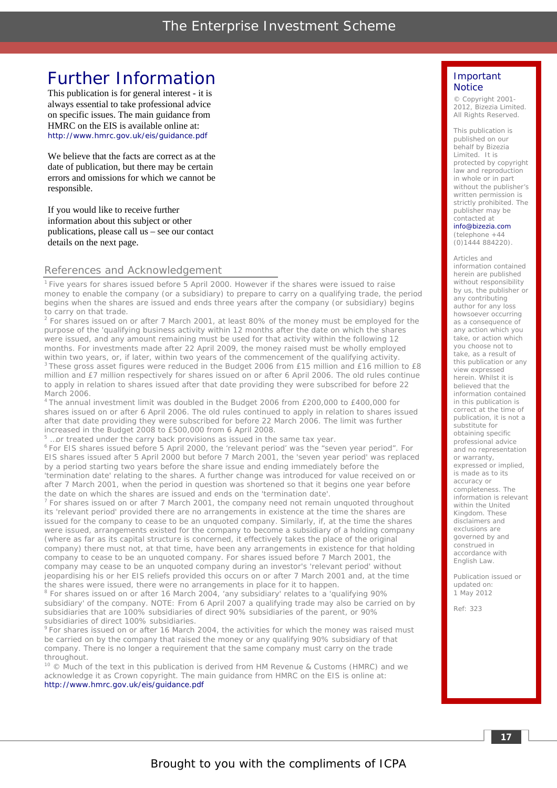### Further Information

This publication is for general interest - it is always essential to take professional advice on specific issues. The main guidance from HMRC on the EIS is available online at: http://www.hmrc.gov.uk/eis/guidance.pdf

We believe that the facts are correct as at the date of publication, but there may be certain errors and omissions for which we cannot be responsible.

If you would like to receive further information about this subject or other publications, please call us – see our contact details on the next page.

#### References and Acknowledgement

1 Five years for shares issued before 5 April 2000. However if the shares were issued to raise money to enable the company (or a subsidiary) to prepare to carry on a qualifying trade, the period begins when the shares are issued and ends three years after the company (or subsidiary) begins to carry on that trade.

 $2$  For shares issued on or after 7 March 2001, at least 80% of the money must be employed for the purpose of the 'qualifying business activity within 12 months after the date on which the shares were issued, and any amount remaining must be used for that activity within the following 12 months. For investments made after 22 April 2009, the money raised must be wholly employed within two years, or, if later, within two years of the commencement of the qualifying activity. <sup>3</sup> These gross asset figures were reduced in the Budget 2006 from £15 million and £16 million to £8 million and £7 million respectively for shares issued on or after 6 April 2006. The old rules continue to apply in relation to shares issued after that date providing they were subscribed for before 22 March 2006.

4 The annual investment limit was doubled in the Budget 2006 from £200,000 to £400,000 for shares issued on or after 6 April 2006. The old rules continued to apply in relation to shares issued after that date providing they were subscribed for before 22 March 2006. The limit was further increased in the Budget 2008 to £500,000 from 6 April 2008.

5

 $5$  ... or treated under the carry back provisions as issued in the same tax year.<br> $6$  For EIS shares issued before 5 April 2000, the 'relevant period' was the "seven year period". For EIS shares issued after 5 April 2000 but before 7 March 2001, the 'seven year period' was replaced by a period starting two years before the share issue and ending immediately before the 'termination date' relating to the shares. A further change was introduced for value received on or after 7 March 2001, when the period in question was shortened so that it begins one year before the date on which the shares are issued and ends on the 'termination date'.

 $7$  For shares issued on or after 7 March 2001, the company need not remain unquoted throughout its 'relevant period' provided there are no arrangements in existence at the time the shares are issued for the company to cease to be an unquoted company. Similarly, if, at the time the shares were issued, arrangements existed for the company to become a subsidiary of a holding company (where as far as its capital structure is concerned, it effectively takes the place of the original company) there must not, at that time, have been any arrangements in existence for that holding company to cease to be an unquoted company. For shares issued before 7 March 2001, the company may cease to be an unquoted company during an investor's 'relevant period' without jeopardising his or her EIS reliefs provided this occurs on or after 7 March 2001 and, at the time the shares were issued, there were no arrangements in place for it to happen.

 $8$  For shares issued on or after 16 March 2004, 'any subsidiary' relates to a 'qualifying 90% subsidiary' of the company. NOTE: From 6 April 2007 a qualifying trade may also be carried on by subsidiaries that are 100% subsidiaries of direct 90% subsidiaries of the parent, or 90% subsidiaries of direct 100% subsidiaries.

<sup>9</sup> For shares issued on or after 16 March 2004, the activities for which the money was raised must be carried on by the company that raised the money or any qualifying 90% subsidiary of that company. There is no longer a requirement that the same company must carry on the trade throughout.

 $10$   $\odot$  Much of the text in this publication is derived from HM Revenue & Customs (HMRC) and we acknowledge it as Crown copyright. The main guidance from HMRC on the EIS is online at: http://www.hmrc.gov.uk/eis/guidance.pdf

#### Important **Notice**

 © Copyright 2001- 2012, Bizezia Limited. All Rights Reserved.

This publication is published on our behalf by Bizezia Limited. It is protected by copyright law and reproduction in whole or in part without the publisher's written permission is strictly prohibited. The publisher may be contacted at

info@bizezia.com

(telephone +44 (0)1444 884220).

Articles and information contained herein are published without responsibility by us, the publisher or any contributing author for any loss howsoever occurring as a consequence of any action which you take, or action which you choose not to take, as a result of this publication or any view expressed herein. Whilst it is believed that the information contained in this publication is correct at the time of publication, it is not a substitute for obtaining specific professional advice and no representation or warranty, expressed or implied, is made as to its accuracy or completeness. The information is relevant within the United Kingdom. These disclaimers and exclusions are governed by and construed in accordance with English Law.

Publication issued or updated on: 1 May 2012

Ref: 323